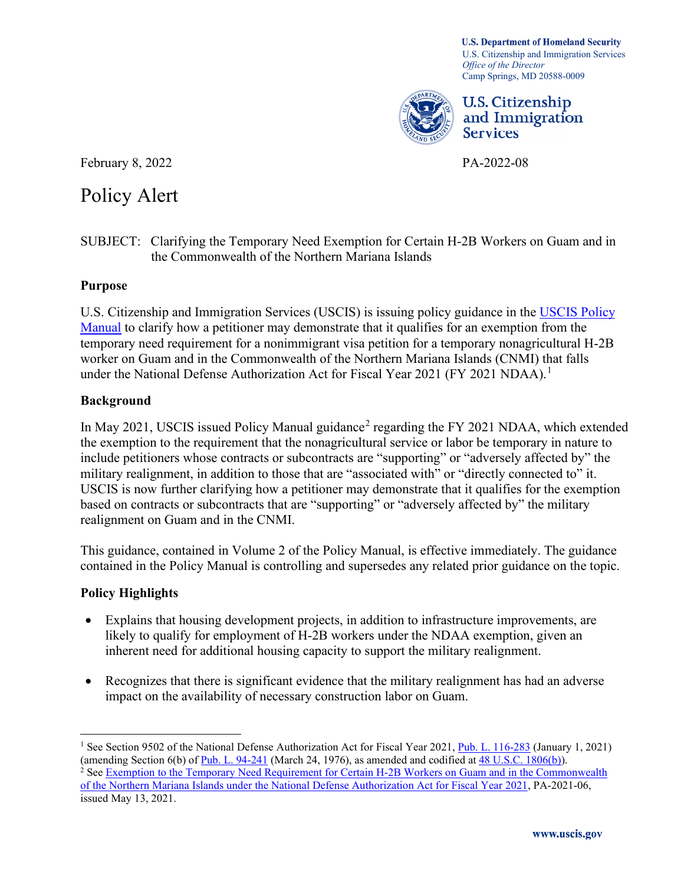Camp Springs, MD 20588-0009 **U.S. Department of Homeland Security**  U.S. Citizenship and Immigration Services *Office of the Director* 



U.S. Citizenship and Immigration Services

February 8, 2022 PA-2022-08

# Policy Alert

Policy Alert<br>SUBJECT: Clarifying the Temporary Need Exemption for Certain H-2B Workers on Guam and in the Commonwealth of the Northern Mariana Islands

### **Purpose**

[Manual](https://www.uscis.gov/policy-manual) to clarify how a petitioner may demonstrate that it qualifies for an exemption from the U.S. Citizenship and Immigration Services (USCIS) is issuing policy guidance in the [USCIS Policy](https://www.uscis.gov/policy-manual)  temporary need requirement for a nonimmigrant visa petition for a temporary nonagricultural H-2B worker on Guam and in the Commonwealth of the Northern Mariana Islands (CNMI) that falls under the National Defense Authorization Act for Fiscal Year 202[1](#page-0-0) (FY 2021 NDAA).<sup>1</sup>

### **Background**

In May [2](#page-0-1)021, USCIS issued Policy Manual guidance<sup>2</sup> regarding the FY 2021 NDAA, which extended the exemption to the requirement that the nonagricultural service or labor be temporary in nature to include petitioners whose contracts or subcontracts are "supporting" or "adversely affected by" the military realignment, in addition to those that are "associated with" or "directly connected to" it. USCIS is now further clarifying how a petitioner may demonstrate that it qualifies for the exemption based on contracts or subcontracts that are "supporting" or "adversely affected by" the military realignment on Guam and in the CNMI.

This guidance, contained in Volume 2 of the Policy Manual, is effective immediately. The guidance contained in the Policy Manual is controlling and supersedes any related prior guidance on the topic.

## **Policy Highlights**

- Explains that housing development projects, in addition to infrastructure improvements, are likely to qualify for employment of H-2B workers under the NDAA exemption, given an inherent need for additional housing capacity to support the military realignment.
- Recognizes that there is significant evidence that the military realignment has had an adverse impact on the availability of necessary construction labor on Guam.

<span id="page-0-0"></span><sup>&</sup>lt;sup>1</sup> See Section 9502 of the National Defense Authorization Act for Fiscal Year 2021, [Pub. L. 116-283](https://www.govinfo.gov/content/pkg/BILLS-116hr6395enr/pdf/BILLS-116hr6395enr.pdf) (January 1, 2021) (amending Section 6(b) of <u>Pub. L. 94-241</u> (March 24, 1976), as amended and codified at  $\frac{48 \text{ U.S.C. }1806(b)}{2 \text{ See Exemption to the Temporary Need Requirement for Certain H-2B Works on Guam and in the Commonwealth}}$ 

<span id="page-0-1"></span>[of the Northern Mariana Islands under the National Defense Authorization Act for Fiscal Year 2021,](https://www.uscis.gov/sites/default/files/document/policy-manual-updates/20210513-H2BNDAA.pdf) PA-2021-06, issued May 13, 2021.